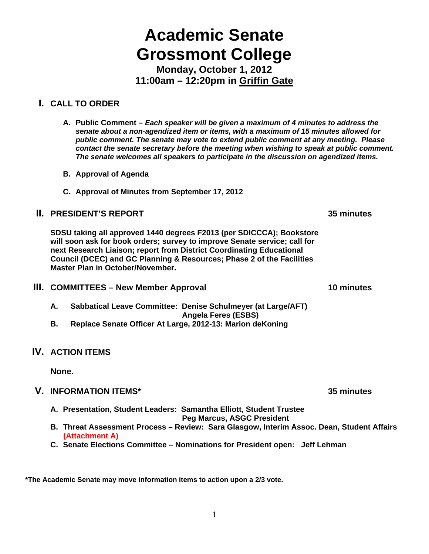# 1

# **Academic Senate Grossmont College**

**Monday, October 1, 2012 11:00am – 12:20pm in Griffin Gate** 

#### **I. CALL TO ORDER**

- **A. Public Comment** *Each speaker will be given a maximum of 4 minutes to address the senate about a non-agendized item or items, with a maximum of 15 minutes allowed for public comment. The senate may vote to extend public comment at any meeting. Please contact the senate secretary before the meeting when wishing to speak at public comment. The senate welcomes all speakers to participate in the discussion on agendized items.*
- **B. Approval of Agenda**
- **C. Approval of Minutes from September 17, 2012**

#### **II. PRESIDENT'S REPORT 35 minutes**

**SDSU taking all approved 1440 degrees F2013 (per SDICCCA); Bookstore will soon ask for book orders; survey to improve Senate service; call for next Research Liaison; report from District Coordinating Educational Council (DCEC) and GC Planning & Resources; Phase 2 of the Facilities Master Plan in October/November.**

- **III. COMMITTEES New Member Approval 10 minutes** 10 minutes
	- **A. Sabbatical Leave Committee: Denise Schulmeyer (at Large/AFT) Angela Feres (ESBS)**
	- **B. Replace Senate Officer At Large, 2012-13: Marion deKoning**

#### **IV. ACTION ITEMS**

**None.** 

#### **V. INFORMATION ITEMS\* 35 minutes**

**A. Presentation, Student Leaders: Samantha Elliott, Student Trustee** 

 **Peg Marcus, ASGC President** 

- **B. Threat Assessment Process Review: Sara Glasgow, Interim Assoc. Dean, Student Affairs (Attachment A)**
- **C. Senate Elections Committee Nominations for President open: Jeff Lehman**

**\*The Academic Senate may move information items to action upon a 2/3 vote.**